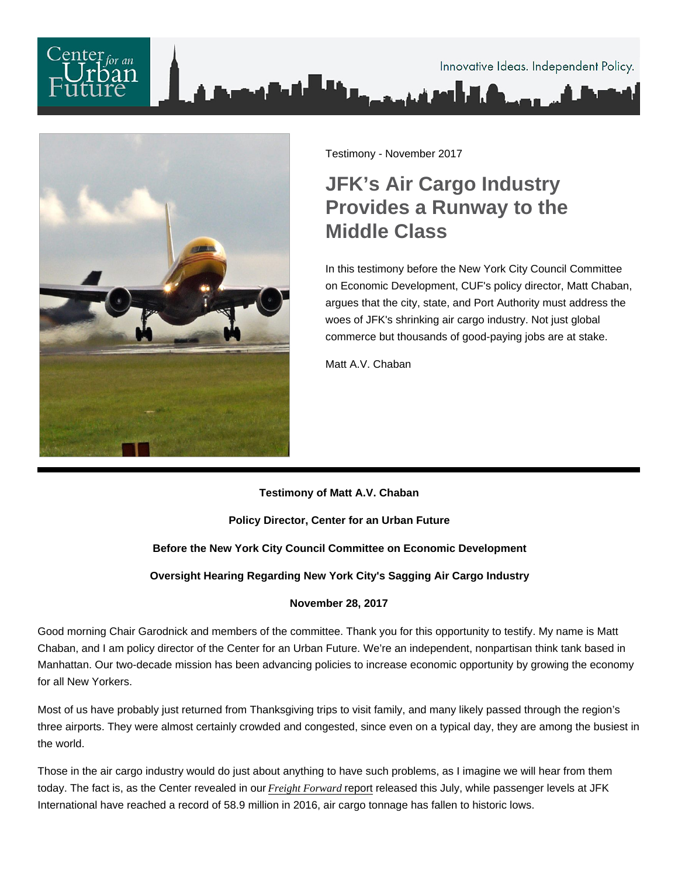

Testimony - November 2017

## JFK's Air Cargo Industry Provides a Runway to the Middle Class

In this testimony before the New York City Council Committee on Economic Development, CUF's policy director, Matt Chaban, argues that the city, state, and Port Authority must address the woes of JFK's shrinking air cargo industry. Not just global commerce but thousands of good-paying jobs are at stake.

Matt A.V. Chaban

Testimony of Matt A.V. Chaban

Policy Director, Center for an Urban Future

Before the New York City Council Committee on Economic Development

Oversight Hearing Regarding New York City's Sagging Air Cargo Industry

November 28, 2017

Good morning Chair Garodnick and members of the committee. Thank you for this opportunity to testify. My name is Matt Chaban, and I am policy director of the Center for an Urban Future. We're an independent, nonpartisan think tank based in Manhattan. Our two-decade mission has been advancing policies to increase economic opportunity by growing the economy for all New Yorkers.

Most of us have probably just returned from Thanksgiving trips to visit family, and many likely passed through the region's three airports. They were almost certainly crowded and congested, since even on a typical day, they are among the busiest in the world.

Those in the air cargo industry would do just about anything to have such problems, as I imagine we will hear from them today. The fact is, as the Center revealed in our Freight Forwardreport released this July, while passenger levels at JFK International have reached a record of 58.9 million in 2016, air cargo tonnage has fallen to historic lows.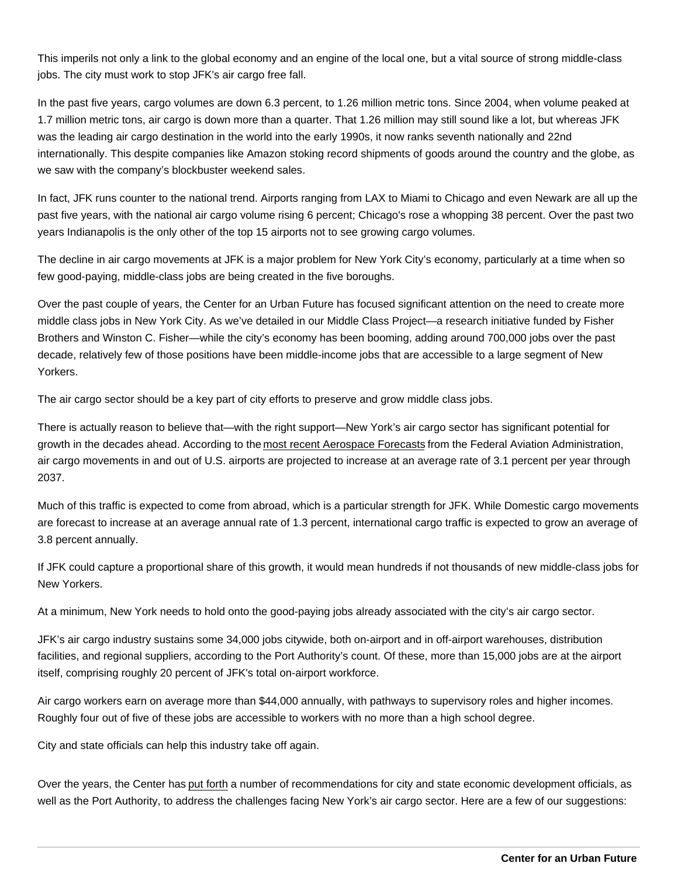This imperils not only a link to the global economy and an engine of the local one, but a vital source of strong middle-class jobs. The city must work to stop JFK's air cargo free fall.

In the past five years, cargo volumes are down 6.3 percent, to 1.26 million metric tons. Since 2004, when volume peaked at 1.7 million metric tons, air cargo is down more than a quarter. That 1.26 million may still sound like a lot, but whereas JFK was the leading air cargo destination in the world into the early 1990s, it now ranks seventh nationally and 22nd internationally. This despite companies like Amazon stoking record shipments of goods around the country and the globe, as we saw with the company's blockbuster weekend sales.

In fact, JFK runs counter to the national trend. Airports ranging from LAX to Miami to Chicago and even Newark are all up the past five years, with the national air cargo volume rising 6 percent; Chicago's rose a whopping 38 percent. Over the past two years Indianapolis is the only other of the top 15 airports not to see growing cargo volumes.

The decline in air cargo movements at JFK is a major problem for New York City's economy, particularly at a time when so few good-paying, middle-class jobs are being created in the five boroughs.

Over the past couple of years, the Center for an Urban Future has focused significant attention on the need to create more middle class jobs in New York City. As we've detailed in our Middle Class Project—a research initiative funded by Fisher Brothers and Winston C. Fisher—while the city's economy has been booming, adding around 700,000 jobs over the past decade, relatively few of those positions have been middle-income jobs that are accessible to a large segment of New Yorkers.

The air cargo sector should be a key part of city efforts to preserve and grow middle class jobs.

There is actually reason to believe that—with the right support—New York's air cargo sector has significant potential for growth in the decades ahead. According to the [most recent Aerospace Forecasts](https://www.faa.gov/data_research/aviation/aerospace_forecasts/) from the Federal Aviation Administration, air cargo movements in and out of U.S. airports are projected to increase at an average rate of 3.1 percent per year through 2037.

Much of this traffic is expected to come from abroad, which is a particular strength for JFK. While Domestic cargo movements are forecast to increase at an average annual rate of 1.3 percent, international cargo traffic is expected to grow an average of 3.8 percent annually.

If JFK could capture a proportional share of this growth, it would mean hundreds if not thousands of new middle-class jobs for New Yorkers.

At a minimum, New York needs to hold onto the good-paying jobs already associated with the city's air cargo sector.

JFK's air cargo industry sustains some 34,000 jobs citywide, both on-airport and in off-airport warehouses, distribution facilities, and regional suppliers, according to the Port Authority's count. Of these, more than 15,000 jobs are at the airport itself, comprising roughly 20 percent of JFK's total on-airport workforce.

Air cargo workers earn on average more than \$44,000 annually, with pathways to supervisory roles and higher incomes. Roughly four out of five of these jobs are accessible to workers with no more than a high school degree.

City and state officials can help this industry take off again.

Over the years, the Center has [put forth](https://nycfuture.org/research/on-a-wing-and-a-prayer) a number of recommendations for city and state economic development officials, as well as the Port Authority, to address the challenges facing New York's air cargo sector. Here are a few of our suggestions: